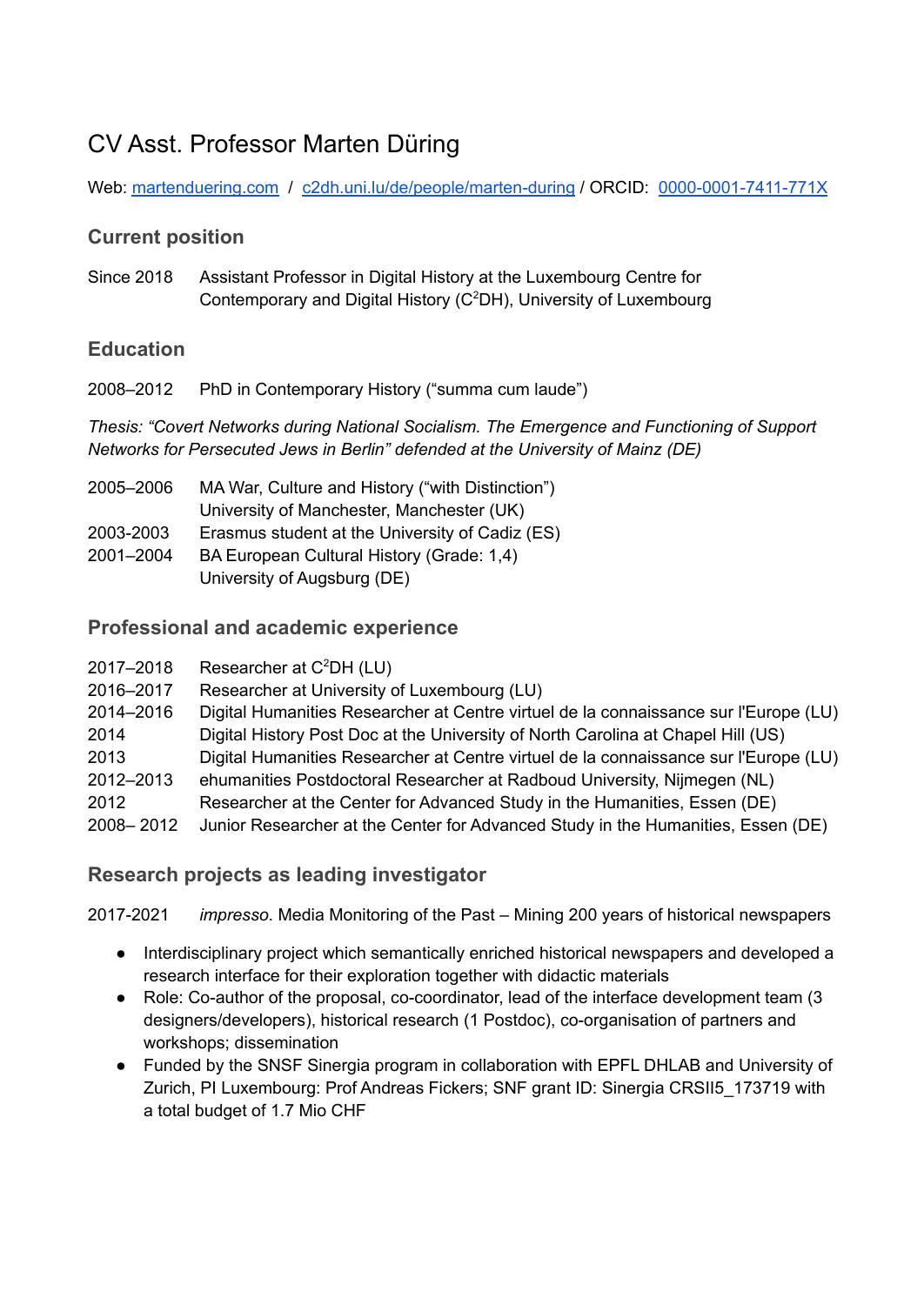# CV Asst. Professor Marten Düring

Web: [martenduering.com](https://martenduering.com/) / [c2dh.uni.lu/de/people/marten-during](https://www.c2dh.uni.lu/de/people/marten-during) / ORCID: [0000-0001-7411-771X](https://orcid.org/0000-0001-7411-771X)

# **Current position**

Since 2018 Assistant Professor in Digital History at the Luxembourg Centre for Contemporary and Digital History (C <sup>2</sup>DH), University of Luxembourg

# **Education**

2008–2012 PhD in Contemporary History ("summa cum laude")

*Thesis: "Covert Networks during National Socialism. The Emergence and Functioning of Support Networks for Persecuted Jews in Berlin" defended at the University of Mainz (DE)*

| 2005-2006 | MA War, Culture and History ("with Distinction") |
|-----------|--------------------------------------------------|
|           | University of Manchester, Manchester (UK)        |
| 2003-2003 | Erasmus student at the University of Cadiz (ES)  |
| 2001-2004 | BA European Cultural History (Grade: 1,4)        |
|           | University of Augsburg (DE)                      |

## **Professional and academic experience**

| 2017–2018 | Researcher at $C^2DH$ (LU)                                                                                     |
|-----------|----------------------------------------------------------------------------------------------------------------|
| 0.10.0017 | . Die eine eine eine eine Einbereiten von Einbereiten und Einbereiten und der Erfolgenden und Erfolgen und Erf |

2016–2017 Researcher at University of Luxembourg (LU)

- 2014–2016 Digital Humanities Researcher at Centre virtuel de la connaissance sur l'Europe (LU)
- 2014 Digital History Post Doc at the University of North Carolina at Chapel Hill (US)
- 2013 Digital Humanities Researcher at Centre virtuel de la connaissance sur l'Europe (LU)
- 2012–2013 ehumanities Postdoctoral Researcher at Radboud University, Nijmegen (NL)
- 2012 Researcher at the Center for Advanced Study in the Humanities, Essen (DE)
- 2008– 2012 Junior Researcher at the Center for Advanced Study in the Humanities, Essen (DE)

## **Research projects as leading investigator**

2017-2021 *impresso*. Media Monitoring of the Past – Mining 200 years of historical newspapers

- Interdisciplinary project which semantically enriched historical newspapers and developed a research interface for their exploration together with didactic materials
- Role: Co-author of the proposal, co-coordinator, lead of the interface development team (3) designers/developers), historical research (1 Postdoc), co-organisation of partners and workshops; dissemination
- Funded by the SNSF Sinergia program in collaboration with EPFL DHLAB and University of Zurich, PI Luxembourg: Prof Andreas Fickers; SNF grant ID: Sinergia CRSII5\_173719 with a total budget of 1.7 Mio CHF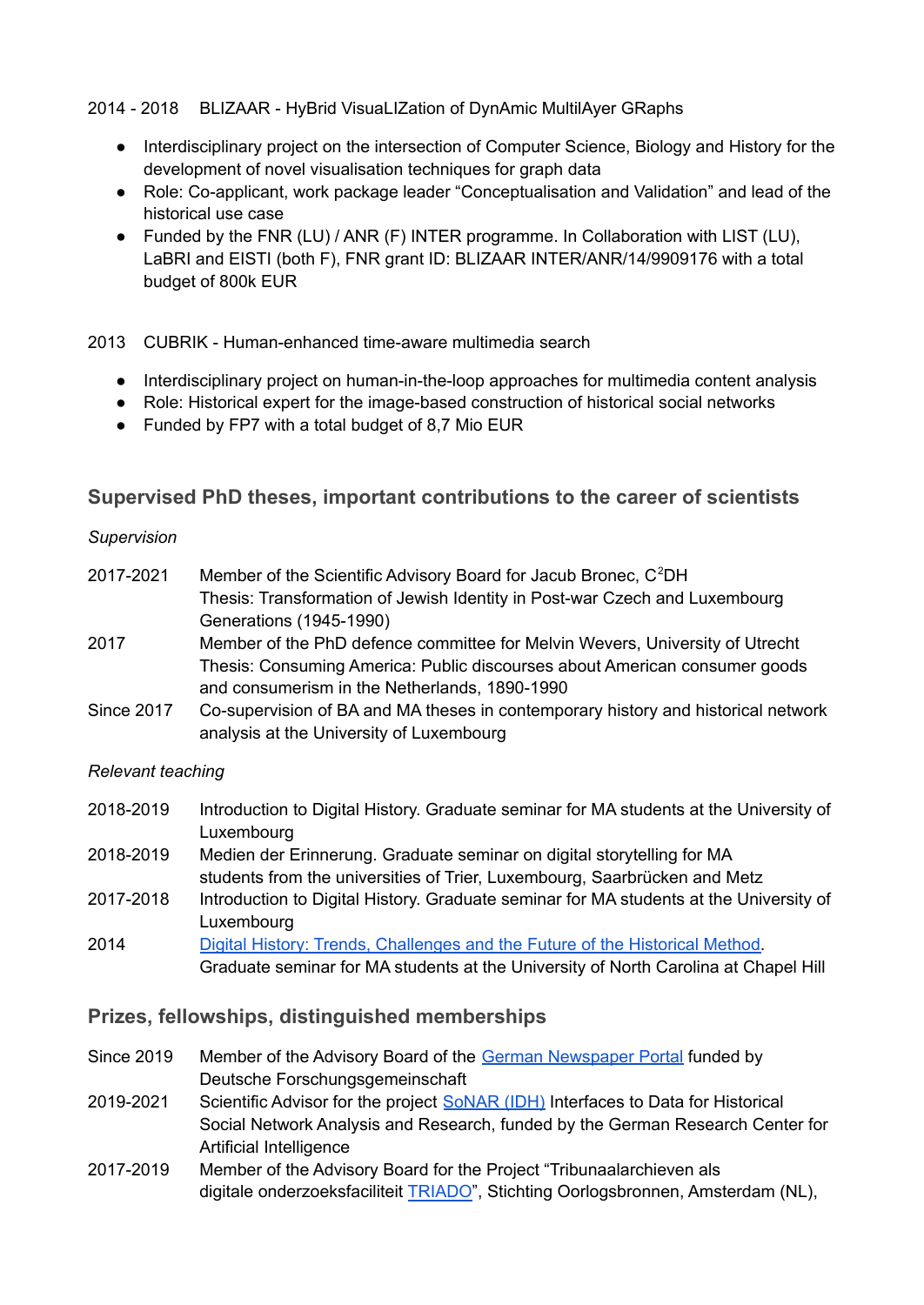2014 - 2018 BLIZAAR - HyBrid VisuaLIZation of DynAmic MultilAyer GRaphs

- Interdisciplinary project on the intersection of Computer Science, Biology and History for the development of novel visualisation techniques for graph data
- Role: Co-applicant, work package leader "Conceptualisation and Validation" and lead of the historical use case
- Funded by the FNR (LU) / ANR (F) INTER programme. In Collaboration with LIST (LU), LaBRI and EISTI (both F), FNR grant ID: BLIZAAR INTER/ANR/14/9909176 with a total budget of 800k EUR

2013 CUBRIK - Human-enhanced time-aware multimedia search

- Interdisciplinary project on human-in-the-loop approaches for multimedia content analysis
- Role: Historical expert for the image-based construction of historical social networks
- Funded by FP7 with a total budget of 8.7 Mio EUR

### **Supervised PhD theses, important contributions to the career of scientists**

#### *Supervision*

| 2017-2021         | Member of the Scientific Advisory Board for Jacub Bronec, C <sup>2</sup> DH       |
|-------------------|-----------------------------------------------------------------------------------|
|                   | Thesis: Transformation of Jewish Identity in Post-war Czech and Luxembourg        |
|                   | Generations (1945-1990)                                                           |
| 2017              | Member of the PhD defence committee for Melvin Wevers, University of Utrecht      |
|                   | Thesis: Consuming America: Public discourses about American consumer goods        |
|                   | and consumerism in the Netherlands, 1890-1990                                     |
| <b>Since 2017</b> | Co-supervision of BA and MA theses in contemporary history and historical network |
|                   | analysis at the University of Luxembourg                                          |

#### *Relevant teaching*

| Introduction to Digital History. Graduate seminar for MA students at the University of |
|----------------------------------------------------------------------------------------|
| Luxembourg                                                                             |
| Medien der Erinnerung. Graduate seminar on digital storytelling for MA                 |
| students from the universities of Trier, Luxembourg, Saarbrücken and Metz              |
| Introduction to Digital History. Graduate seminar for MA students at the University of |
| Luxembourg                                                                             |
| Digital History: Trends, Challenges and the Future of the Historical Method.           |
| Graduate seminar for MA students at the University of North Carolina at Chapel Hill    |
|                                                                                        |

#### **Prizes, fellowships, distinguished memberships**

- Since 2019 Member of the Advisory Board of the German [Newspaper](https://www.dnb.de/EN/Professionell/ProjekteKooperationen/Projekte/DDB-Zeitungsportal/DDB-Zeitungsportal_node.html) Portal funded by Deutsche Forschungsgemeinschaft
- 2019-2021 Scientific Advisor for the project [SoNAR](https://sonar.fh-potsdam.de/) (IDH) Interfaces to Data for Historical Social Network Analysis and Research, funded by the German Research Center for Artificial Intelligence
- 2017-2019 Member of the Advisory Board for the Project "Tribunaalarchieven als digitale onderzoeksfaciliteit [TRIADO"](https://www.oorlogsbronnen.nl/nieuws/project-tribunaalarchieven-als-digitale-onderzoeksfaciliteit-triado), Stichting Oorlogsbronnen, Amsterdam (NL),